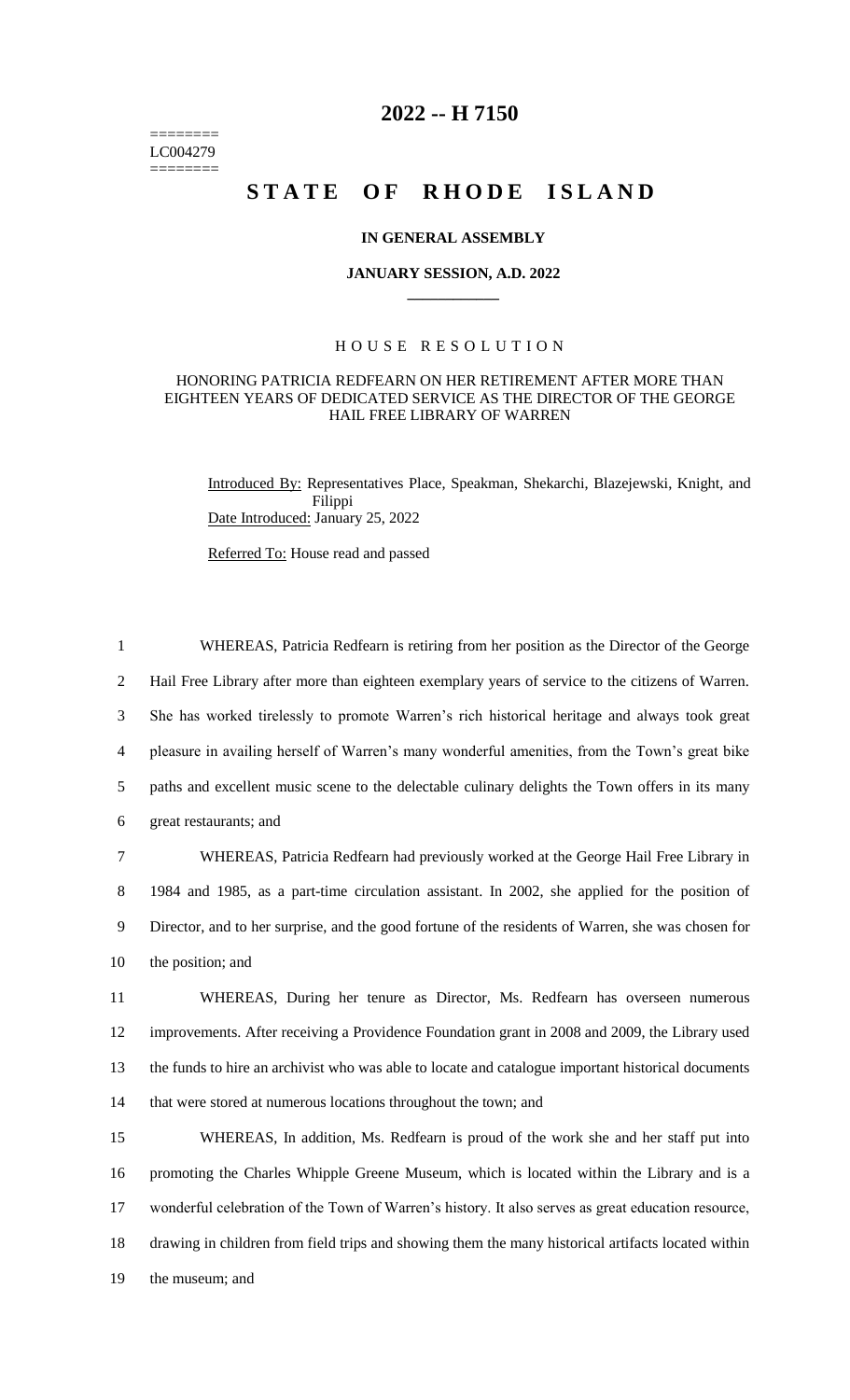======== LC004279 ========

## **2022 -- H 7150**

# STATE OF RHODE ISLAND

#### **IN GENERAL ASSEMBLY**

#### **JANUARY SESSION, A.D. 2022 \_\_\_\_\_\_\_\_\_\_\_\_**

### H O U S E R E S O L U T I O N

#### HONORING PATRICIA REDFEARN ON HER RETIREMENT AFTER MORE THAN EIGHTEEN YEARS OF DEDICATED SERVICE AS THE DIRECTOR OF THE GEORGE HAIL FREE LIBRARY OF WARREN

Introduced By: Representatives Place, Speakman, Shekarchi, Blazejewski, Knight, and Filippi Date Introduced: January 25, 2022

Referred To: House read and passed

 WHEREAS, Patricia Redfearn is retiring from her position as the Director of the George Hail Free Library after more than eighteen exemplary years of service to the citizens of Warren. She has worked tirelessly to promote Warren's rich historical heritage and always took great pleasure in availing herself of Warren's many wonderful amenities, from the Town's great bike paths and excellent music scene to the delectable culinary delights the Town offers in its many great restaurants; and WHEREAS, Patricia Redfearn had previously worked at the George Hail Free Library in

8 1984 and 1985, as a part-time circulation assistant. In 2002, she applied for the position of 9 Director, and to her surprise, and the good fortune of the residents of Warren, she was chosen for 10 the position; and

 WHEREAS, During her tenure as Director, Ms. Redfearn has overseen numerous improvements. After receiving a Providence Foundation grant in 2008 and 2009, the Library used the funds to hire an archivist who was able to locate and catalogue important historical documents that were stored at numerous locations throughout the town; and

 WHEREAS, In addition, Ms. Redfearn is proud of the work she and her staff put into promoting the Charles Whipple Greene Museum, which is located within the Library and is a wonderful celebration of the Town of Warren's history. It also serves as great education resource, drawing in children from field trips and showing them the many historical artifacts located within the museum; and